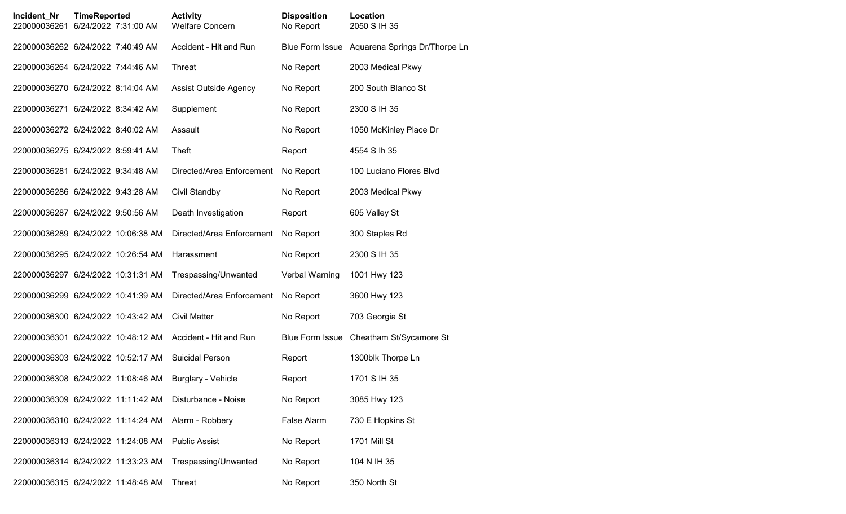| Incident_Nr<br>220000036261        | <b>TimeReported</b> | 6/24/2022 7:31:00 AM | <b>Activity</b><br>Welfare Concern | <b>Disposition</b><br>No Report | Location<br>2050 S IH 35                      |
|------------------------------------|---------------------|----------------------|------------------------------------|---------------------------------|-----------------------------------------------|
| 220000036262 6/24/2022 7:40:49 AM  |                     |                      | Accident - Hit and Run             |                                 | Blue Form Issue Aquarena Springs Dr/Thorpe Ln |
| 220000036264 6/24/2022 7:44:46 AM  |                     |                      | Threat                             | No Report                       | 2003 Medical Pkwy                             |
| 220000036270 6/24/2022 8:14:04 AM  |                     |                      | Assist Outside Agency              | No Report                       | 200 South Blanco St                           |
| 220000036271 6/24/2022 8:34:42 AM  |                     |                      | Supplement                         | No Report                       | 2300 S IH 35                                  |
| 220000036272 6/24/2022 8:40:02 AM  |                     |                      | Assault                            | No Report                       | 1050 McKinley Place Dr                        |
| 220000036275 6/24/2022 8:59:41 AM  |                     |                      | Theft                              | Report                          | 4554 S lh 35                                  |
| 220000036281 6/24/2022 9:34:48 AM  |                     |                      | Directed/Area Enforcement          | No Report                       | 100 Luciano Flores Blvd                       |
| 220000036286 6/24/2022 9:43:28 AM  |                     |                      | Civil Standby                      | No Report                       | 2003 Medical Pkwy                             |
| 220000036287 6/24/2022 9:50:56 AM  |                     |                      | Death Investigation                | Report                          | 605 Valley St                                 |
| 220000036289 6/24/2022 10:06:38 AM |                     |                      | Directed/Area Enforcement          | No Report                       | 300 Staples Rd                                |
| 220000036295 6/24/2022 10:26:54 AM |                     |                      | Harassment                         | No Report                       | 2300 S IH 35                                  |
| 220000036297 6/24/2022 10:31:31 AM |                     |                      | Trespassing/Unwanted               | Verbal Warning                  | 1001 Hwy 123                                  |
| 220000036299 6/24/2022 10:41:39 AM |                     |                      | Directed/Area Enforcement          | No Report                       | 3600 Hwy 123                                  |
| 220000036300 6/24/2022 10:43:42 AM |                     |                      | <b>Civil Matter</b>                | No Report                       | 703 Georgia St                                |
| 220000036301 6/24/2022 10:48:12 AM |                     |                      | Accident - Hit and Run             | <b>Blue Form Issue</b>          | Cheatham St/Sycamore St                       |
| 220000036303 6/24/2022 10:52:17 AM |                     |                      | Suicidal Person                    | Report                          | 1300blk Thorpe Ln                             |
| 220000036308 6/24/2022 11:08:46 AM |                     |                      | <b>Burglary - Vehicle</b>          | Report                          | 1701 S IH 35                                  |
| 220000036309 6/24/2022 11:11:42 AM |                     |                      | Disturbance - Noise                | No Report                       | 3085 Hwy 123                                  |
| 220000036310 6/24/2022 11:14:24 AM |                     |                      | Alarm - Robbery                    | False Alarm                     | 730 E Hopkins St                              |
| 220000036313 6/24/2022 11:24:08 AM |                     |                      | <b>Public Assist</b>               | No Report                       | <b>1701 Mill St</b>                           |
| 220000036314 6/24/2022 11:33:23 AM |                     |                      | Trespassing/Unwanted               | No Report                       | 104 N IH 35                                   |
| 220000036315 6/24/2022 11:48:48 AM |                     |                      | Threat                             | No Report                       | 350 North St                                  |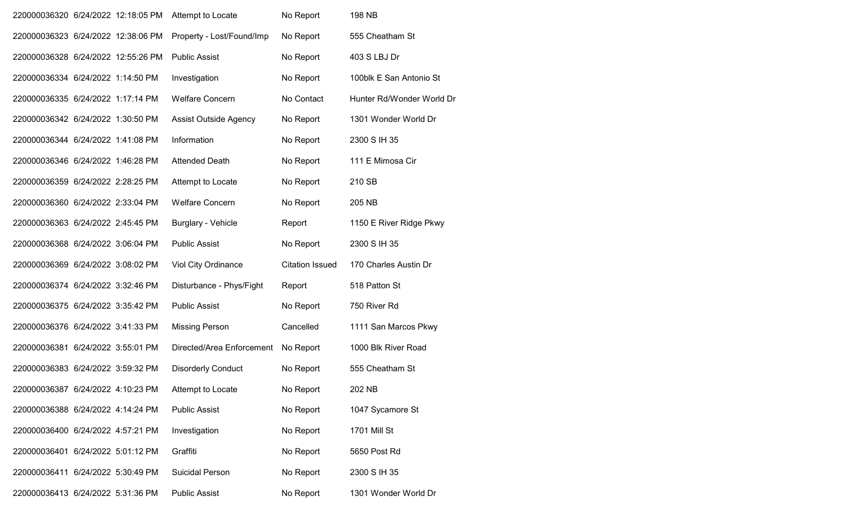| 220000036320 6/24/2022 12:18:05 PM |  | Attempt to Locate         | No Report              | <b>198 NB</b>             |
|------------------------------------|--|---------------------------|------------------------|---------------------------|
| 220000036323 6/24/2022 12:38:06 PM |  | Property - Lost/Found/Imp | No Report              | 555 Cheatham St           |
| 220000036328 6/24/2022 12:55:26 PM |  | <b>Public Assist</b>      | No Report              | 403 S LBJ Dr              |
| 220000036334 6/24/2022 1:14:50 PM  |  | Investigation             | No Report              | 100blk E San Antonio St   |
| 220000036335 6/24/2022 1:17:14 PM  |  | <b>Welfare Concern</b>    | No Contact             | Hunter Rd/Wonder World Dr |
| 220000036342 6/24/2022 1:30:50 PM  |  | Assist Outside Agency     | No Report              | 1301 Wonder World Dr      |
| 220000036344 6/24/2022 1:41:08 PM  |  | Information               | No Report              | 2300 S IH 35              |
| 220000036346 6/24/2022 1:46:28 PM  |  | <b>Attended Death</b>     | No Report              | 111 E Mimosa Cir          |
| 220000036359 6/24/2022 2:28:25 PM  |  | Attempt to Locate         | No Report              | 210 SB                    |
| 220000036360 6/24/2022 2:33:04 PM  |  | <b>Welfare Concern</b>    | No Report              | 205 NB                    |
| 220000036363 6/24/2022 2:45:45 PM  |  | <b>Burglary - Vehicle</b> | Report                 | 1150 E River Ridge Pkwy   |
| 220000036368 6/24/2022 3:06:04 PM  |  | <b>Public Assist</b>      | No Report              | 2300 S IH 35              |
| 220000036369 6/24/2022 3:08:02 PM  |  | Viol City Ordinance       | <b>Citation Issued</b> | 170 Charles Austin Dr     |
| 220000036374 6/24/2022 3:32:46 PM  |  | Disturbance - Phys/Fight  | Report                 | 518 Patton St             |
| 220000036375 6/24/2022 3:35:42 PM  |  | <b>Public Assist</b>      | No Report              | 750 River Rd              |
| 220000036376 6/24/2022 3:41:33 PM  |  | <b>Missing Person</b>     | Cancelled              | 1111 San Marcos Pkwy      |
| 220000036381 6/24/2022 3:55:01 PM  |  | Directed/Area Enforcement | No Report              | 1000 Blk River Road       |
| 220000036383 6/24/2022 3:59:32 PM  |  | <b>Disorderly Conduct</b> | No Report              | 555 Cheatham St           |
| 220000036387 6/24/2022 4:10:23 PM  |  | Attempt to Locate         | No Report              | 202 NB                    |
| 220000036388 6/24/2022 4:14:24 PM  |  | <b>Public Assist</b>      | No Report              | 1047 Sycamore St          |
| 220000036400 6/24/2022 4:57:21 PM  |  | Investigation             | No Report              | <b>1701 Mill St</b>       |
| 220000036401 6/24/2022 5:01:12 PM  |  | Graffiti                  | No Report              | 5650 Post Rd              |
| 220000036411 6/24/2022 5:30:49 PM  |  | <b>Suicidal Person</b>    | No Report              | 2300 S IH 35              |
| 220000036413 6/24/2022 5:31:36 PM  |  | <b>Public Assist</b>      | No Report              | 1301 Wonder World Dr      |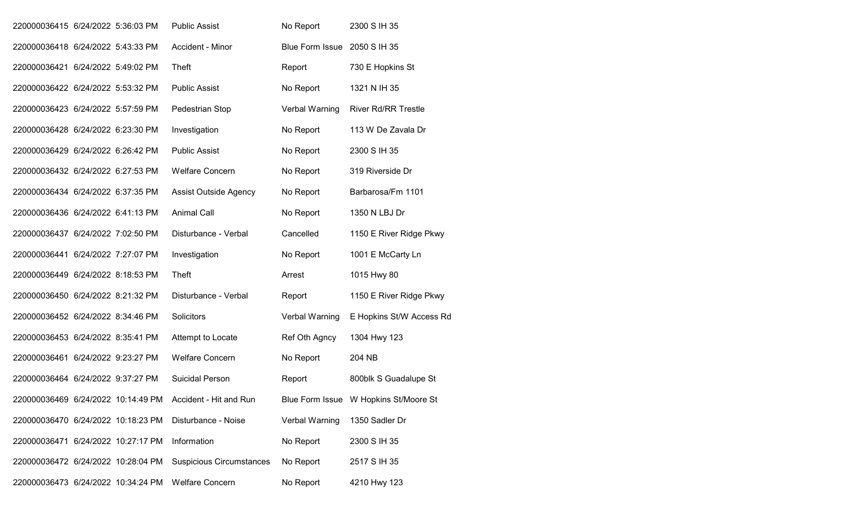| 220000036415 6/24/2022 5:36:03 PM  |  | <b>Public Assist</b>            | No Report                    | 2300 S IH 35                          |
|------------------------------------|--|---------------------------------|------------------------------|---------------------------------------|
| 220000036418 6/24/2022 5:43:33 PM  |  | Accident - Minor                | Blue Form Issue 2050 S IH 35 |                                       |
| 220000036421 6/24/2022 5:49:02 PM  |  | Theft                           | Report                       | 730 E Hopkins St                      |
| 220000036422 6/24/2022 5:53:32 PM  |  | <b>Public Assist</b>            | No Report                    | 1321 N IH 35                          |
| 220000036423 6/24/2022 5:57:59 PM  |  | Pedestrian Stop                 | Verbal Warning               | <b>River Rd/RR Trestle</b>            |
| 220000036428 6/24/2022 6:23:30 PM  |  | Investigation                   | No Report                    | 113 W De Zavala Dr                    |
| 220000036429 6/24/2022 6:26:42 PM  |  | <b>Public Assist</b>            | No Report                    | 2300 S IH 35                          |
| 220000036432 6/24/2022 6:27:53 PM  |  | <b>Welfare Concern</b>          | No Report                    | 319 Riverside Dr                      |
| 220000036434 6/24/2022 6:37:35 PM  |  | Assist Outside Agency           | No Report                    | Barbarosa/Fm 1101                     |
| 220000036436 6/24/2022 6:41:13 PM  |  | <b>Animal Call</b>              | No Report                    | 1350 N LBJ Dr                         |
| 220000036437 6/24/2022 7:02:50 PM  |  | Disturbance - Verbal            | Cancelled                    | 1150 E River Ridge Pkwy               |
| 220000036441 6/24/2022 7:27:07 PM  |  | Investigation                   | No Report                    | 1001 E McCarty Ln                     |
| 220000036449 6/24/2022 8:18:53 PM  |  | Theft                           | Arrest                       | 1015 Hwy 80                           |
| 220000036450 6/24/2022 8:21:32 PM  |  | Disturbance - Verbal            | Report                       | 1150 E River Ridge Pkwy               |
| 220000036452 6/24/2022 8:34:46 PM  |  | Solicitors                      | Verbal Warning               | E Hopkins St/W Access Rd              |
| 220000036453 6/24/2022 8:35:41 PM  |  | Attempt to Locate               | Ref Oth Agncy                | 1304 Hwy 123                          |
| 220000036461 6/24/2022 9:23:27 PM  |  | <b>Welfare Concern</b>          | No Report                    | 204 NB                                |
| 220000036464 6/24/2022 9:37:27 PM  |  | <b>Suicidal Person</b>          | Report                       | 800blk S Guadalupe St                 |
| 220000036469 6/24/2022 10:14:49 PM |  | Accident - Hit and Run          |                              | Blue Form Issue W Hopkins St/Moore St |
| 220000036470 6/24/2022 10:18:23 PM |  | Disturbance - Noise             | Verbal Warning               | 1350 Sadler Dr                        |
| 220000036471 6/24/2022 10:27:17 PM |  | Information                     | No Report                    | 2300 S IH 35                          |
| 220000036472 6/24/2022 10:28:04 PM |  | <b>Suspicious Circumstances</b> | No Report                    | 2517 S IH 35                          |
| 220000036473 6/24/2022 10:34:24 PM |  | <b>Welfare Concern</b>          | No Report                    | 4210 Hwy 123                          |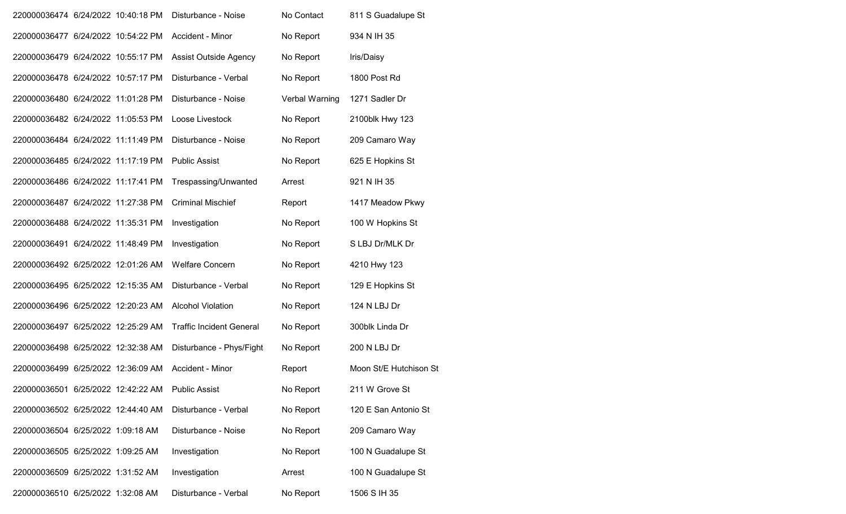| 220000036474 6/24/2022 10:40:18 PM |  | Disturbance - Noise             | No Contact     | 811 S Guadalupe St     |
|------------------------------------|--|---------------------------------|----------------|------------------------|
| 220000036477 6/24/2022 10:54:22 PM |  | Accident - Minor                | No Report      | 934 N IH 35            |
| 220000036479 6/24/2022 10:55:17 PM |  | Assist Outside Agency           | No Report      | Iris/Daisy             |
| 220000036478 6/24/2022 10:57:17 PM |  | Disturbance - Verbal            | No Report      | 1800 Post Rd           |
| 220000036480 6/24/2022 11:01:28 PM |  | Disturbance - Noise             | Verbal Warning | 1271 Sadler Dr         |
| 220000036482 6/24/2022 11:05:53 PM |  | Loose Livestock                 | No Report      | 2100blk Hwy 123        |
| 220000036484 6/24/2022 11:11:49 PM |  | Disturbance - Noise             | No Report      | 209 Camaro Way         |
| 220000036485 6/24/2022 11:17:19 PM |  | <b>Public Assist</b>            | No Report      | 625 E Hopkins St       |
| 220000036486 6/24/2022 11:17:41 PM |  | Trespassing/Unwanted            | Arrest         | 921 N IH 35            |
| 220000036487 6/24/2022 11:27:38 PM |  | <b>Criminal Mischief</b>        | Report         | 1417 Meadow Pkwy       |
| 220000036488 6/24/2022 11:35:31 PM |  | Investigation                   | No Report      | 100 W Hopkins St       |
| 220000036491 6/24/2022 11:48:49 PM |  | Investigation                   | No Report      | S LBJ Dr/MLK Dr        |
| 220000036492 6/25/2022 12:01:26 AM |  | <b>Welfare Concern</b>          | No Report      | 4210 Hwy 123           |
| 220000036495 6/25/2022 12:15:35 AM |  | Disturbance - Verbal            | No Report      | 129 E Hopkins St       |
| 220000036496 6/25/2022 12:20:23 AM |  | <b>Alcohol Violation</b>        | No Report      | 124 N LBJ Dr           |
| 220000036497 6/25/2022 12:25:29 AM |  | <b>Traffic Incident General</b> | No Report      | 300blk Linda Dr        |
| 220000036498 6/25/2022 12:32:38 AM |  | Disturbance - Phys/Fight        | No Report      | 200 N LBJ Dr           |
| 220000036499 6/25/2022 12:36:09 AM |  | Accident - Minor                | Report         | Moon St/E Hutchison St |
| 220000036501 6/25/2022 12:42:22 AM |  | <b>Public Assist</b>            | No Report      | 211 W Grove St         |
| 220000036502 6/25/2022 12:44:40 AM |  | Disturbance - Verbal            | No Report      | 120 E San Antonio St   |
| 220000036504 6/25/2022 1:09:18 AM  |  | Disturbance - Noise             | No Report      | 209 Camaro Way         |
| 220000036505 6/25/2022 1:09:25 AM  |  | Investigation                   | No Report      | 100 N Guadalupe St     |
| 220000036509 6/25/2022 1:31:52 AM  |  | Investigation                   | Arrest         | 100 N Guadalupe St     |
| 220000036510 6/25/2022 1:32:08 AM  |  | Disturbance - Verbal            | No Report      | 1506 S IH 35           |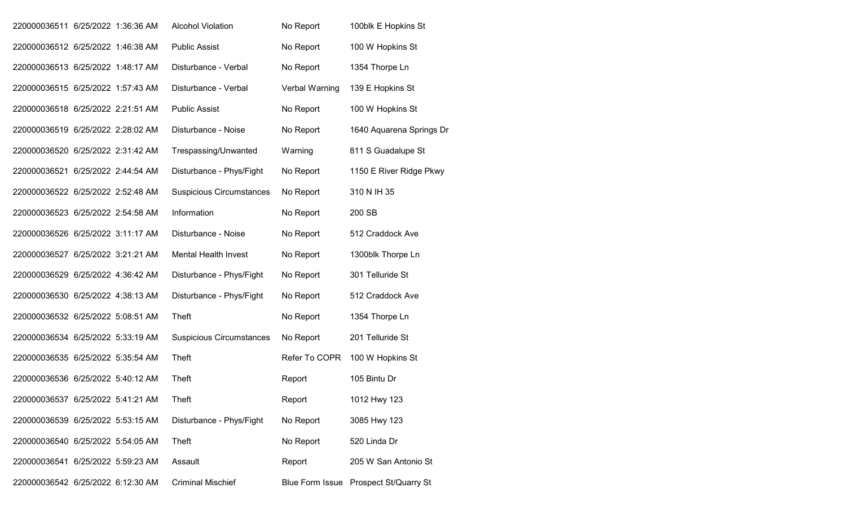| 220000036511 6/25/2022 1:36:36 AM |  | <b>Alcohol Violation</b>        | No Report      | 100blk E Hopkins St                   |
|-----------------------------------|--|---------------------------------|----------------|---------------------------------------|
| 220000036512 6/25/2022 1:46:38 AM |  | <b>Public Assist</b>            | No Report      | 100 W Hopkins St                      |
| 220000036513 6/25/2022 1:48:17 AM |  | Disturbance - Verbal            | No Report      | 1354 Thorpe Ln                        |
| 220000036515 6/25/2022 1:57:43 AM |  | Disturbance - Verbal            | Verbal Warning | 139 E Hopkins St                      |
| 220000036518 6/25/2022 2:21:51 AM |  | <b>Public Assist</b>            | No Report      | 100 W Hopkins St                      |
| 220000036519 6/25/2022 2:28:02 AM |  | Disturbance - Noise             | No Report      | 1640 Aquarena Springs Dr              |
| 220000036520 6/25/2022 2:31:42 AM |  | Trespassing/Unwanted            | Warning        | 811 S Guadalupe St                    |
| 220000036521 6/25/2022 2:44:54 AM |  | Disturbance - Phys/Fight        | No Report      | 1150 E River Ridge Pkwy               |
| 220000036522 6/25/2022 2:52:48 AM |  | <b>Suspicious Circumstances</b> | No Report      | 310 N IH 35                           |
| 220000036523 6/25/2022 2:54:58 AM |  | Information                     | No Report      | 200 SB                                |
| 220000036526 6/25/2022 3:11:17 AM |  | Disturbance - Noise             | No Report      | 512 Craddock Ave                      |
| 220000036527 6/25/2022 3:21:21 AM |  | <b>Mental Health Invest</b>     | No Report      | 1300blk Thorpe Ln                     |
| 220000036529 6/25/2022 4:36:42 AM |  | Disturbance - Phys/Fight        | No Report      | 301 Telluride St                      |
| 220000036530 6/25/2022 4:38:13 AM |  | Disturbance - Phys/Fight        | No Report      | 512 Craddock Ave                      |
| 220000036532 6/25/2022 5:08:51 AM |  | Theft                           | No Report      | 1354 Thorpe Ln                        |
| 220000036534 6/25/2022 5:33:19 AM |  | <b>Suspicious Circumstances</b> | No Report      | 201 Telluride St                      |
| 220000036535 6/25/2022 5:35:54 AM |  | Theft                           | Refer To COPR  | 100 W Hopkins St                      |
| 220000036536 6/25/2022 5:40:12 AM |  | Theft                           | Report         | 105 Bintu Dr                          |
| 220000036537 6/25/2022 5:41:21 AM |  | Theft                           | Report         | 1012 Hwy 123                          |
| 220000036539 6/25/2022 5:53:15 AM |  | Disturbance - Phys/Fight        | No Report      | 3085 Hwy 123                          |
| 220000036540 6/25/2022 5:54:05 AM |  | Theft                           | No Report      | 520 Linda Dr                          |
| 220000036541 6/25/2022 5:59:23 AM |  | Assault                         | Report         | 205 W San Antonio St                  |
| 220000036542 6/25/2022 6:12:30 AM |  | <b>Criminal Mischief</b>        |                | Blue Form Issue Prospect St/Quarry St |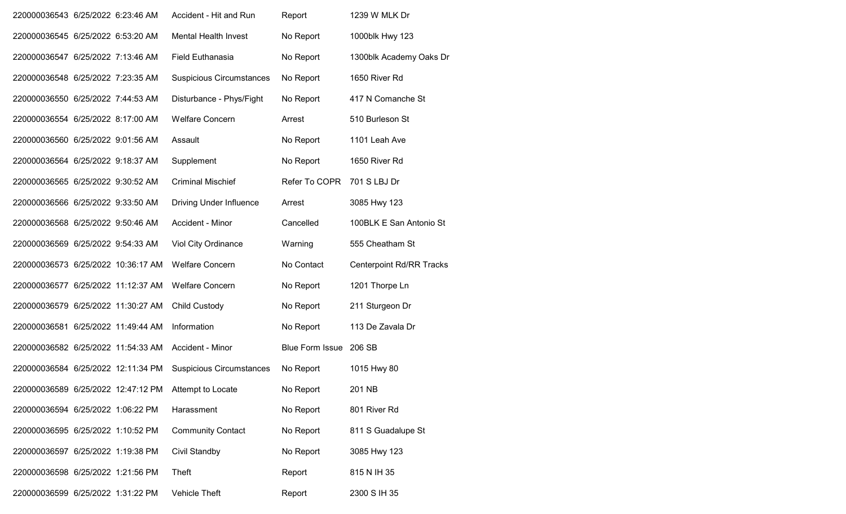| 220000036543 6/25/2022 6:23:46 AM  |  | Accident - Hit and Run          | Report                 | 1239 W MLK Dr                   |
|------------------------------------|--|---------------------------------|------------------------|---------------------------------|
| 220000036545 6/25/2022 6:53:20 AM  |  | <b>Mental Health Invest</b>     | No Report              | 1000blk Hwy 123                 |
| 220000036547 6/25/2022 7:13:46 AM  |  | <b>Field Euthanasia</b>         | No Report              | 1300blk Academy Oaks Dr         |
| 220000036548 6/25/2022 7:23:35 AM  |  | <b>Suspicious Circumstances</b> | No Report              | 1650 River Rd                   |
| 220000036550 6/25/2022 7:44:53 AM  |  | Disturbance - Phys/Fight        | No Report              | 417 N Comanche St               |
| 220000036554 6/25/2022 8:17:00 AM  |  | <b>Welfare Concern</b>          | Arrest                 | 510 Burleson St                 |
| 220000036560 6/25/2022 9:01:56 AM  |  | Assault                         | No Report              | 1101 Leah Ave                   |
| 220000036564 6/25/2022 9:18:37 AM  |  | Supplement                      | No Report              | 1650 River Rd                   |
| 220000036565 6/25/2022 9:30:52 AM  |  | <b>Criminal Mischief</b>        | Refer To COPR          | 701 S LBJ Dr                    |
| 220000036566 6/25/2022 9:33:50 AM  |  | <b>Driving Under Influence</b>  | Arrest                 | 3085 Hwy 123                    |
| 220000036568 6/25/2022 9:50:46 AM  |  | Accident - Minor                | Cancelled              | 100BLK E San Antonio St         |
| 220000036569 6/25/2022 9:54:33 AM  |  | Viol City Ordinance             | Warning                | 555 Cheatham St                 |
| 220000036573 6/25/2022 10:36:17 AM |  | <b>Welfare Concern</b>          | No Contact             | <b>Centerpoint Rd/RR Tracks</b> |
| 220000036577 6/25/2022 11:12:37 AM |  | <b>Welfare Concern</b>          | No Report              | 1201 Thorpe Ln                  |
| 220000036579 6/25/2022 11:30:27 AM |  | <b>Child Custody</b>            | No Report              | 211 Sturgeon Dr                 |
| 220000036581 6/25/2022 11:49:44 AM |  | Information                     | No Report              | 113 De Zavala Dr                |
| 220000036582 6/25/2022 11:54:33 AM |  | Accident - Minor                | <b>Blue Form Issue</b> | 206 SB                          |
| 220000036584 6/25/2022 12:11:34 PM |  | <b>Suspicious Circumstances</b> | No Report              | 1015 Hwy 80                     |
| 220000036589 6/25/2022 12:47:12 PM |  | Attempt to Locate               | No Report              | 201 NB                          |
| 220000036594 6/25/2022 1:06:22 PM  |  | Harassment                      | No Report              | 801 River Rd                    |
| 220000036595 6/25/2022 1:10:52 PM  |  | <b>Community Contact</b>        | No Report              | 811 S Guadalupe St              |
| 220000036597 6/25/2022 1:19:38 PM  |  | Civil Standby                   | No Report              | 3085 Hwy 123                    |
| 220000036598 6/25/2022 1:21:56 PM  |  | Theft                           | Report                 | 815 N IH 35                     |
| 220000036599 6/25/2022 1:31:22 PM  |  | Vehicle Theft                   | Report                 | 2300 S IH 35                    |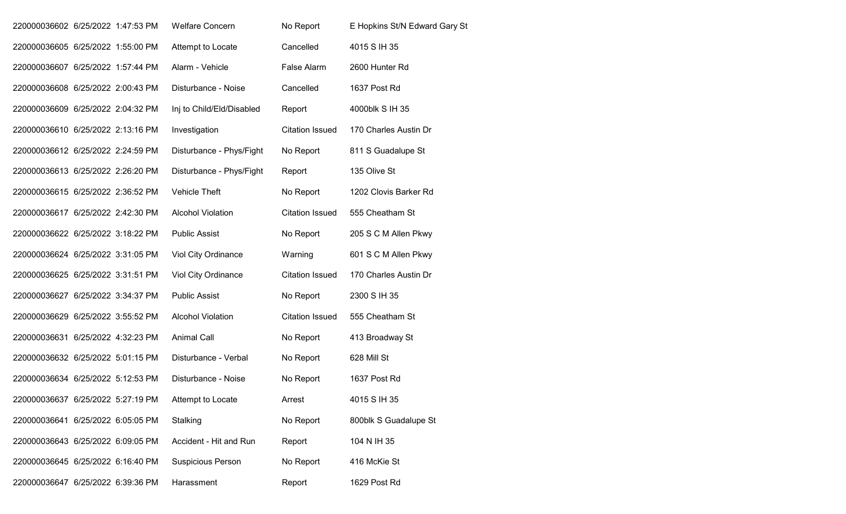| 220000036602 6/25/2022 1:47:53 PM |  | <b>Welfare Concern</b>    | No Report              | E Hopkins St/N Edward Gary St |
|-----------------------------------|--|---------------------------|------------------------|-------------------------------|
| 220000036605 6/25/2022 1:55:00 PM |  | Attempt to Locate         | Cancelled              | 4015 S IH 35                  |
| 220000036607 6/25/2022 1:57:44 PM |  | Alarm - Vehicle           | False Alarm            | 2600 Hunter Rd                |
| 220000036608 6/25/2022 2:00:43 PM |  | Disturbance - Noise       | Cancelled              | 1637 Post Rd                  |
| 220000036609 6/25/2022 2:04:32 PM |  | Inj to Child/Eld/Disabled | Report                 | 4000blk S IH 35               |
| 220000036610 6/25/2022 2:13:16 PM |  | Investigation             | <b>Citation Issued</b> | 170 Charles Austin Dr         |
| 220000036612 6/25/2022 2:24:59 PM |  | Disturbance - Phys/Fight  | No Report              | 811 S Guadalupe St            |
| 220000036613 6/25/2022 2:26:20 PM |  | Disturbance - Phys/Fight  | Report                 | 135 Olive St                  |
| 220000036615 6/25/2022 2:36:52 PM |  | Vehicle Theft             | No Report              | 1202 Clovis Barker Rd         |
| 220000036617 6/25/2022 2:42:30 PM |  | <b>Alcohol Violation</b>  | <b>Citation Issued</b> | 555 Cheatham St               |
| 220000036622 6/25/2022 3:18:22 PM |  | <b>Public Assist</b>      | No Report              | 205 S C M Allen Pkwy          |
| 220000036624 6/25/2022 3:31:05 PM |  | Viol City Ordinance       | Warning                | 601 S C M Allen Pkwy          |
| 220000036625 6/25/2022 3:31:51 PM |  | Viol City Ordinance       | <b>Citation Issued</b> | 170 Charles Austin Dr         |
| 220000036627 6/25/2022 3:34:37 PM |  | <b>Public Assist</b>      | No Report              | 2300 S IH 35                  |
| 220000036629 6/25/2022 3:55:52 PM |  | <b>Alcohol Violation</b>  | <b>Citation Issued</b> | 555 Cheatham St               |
| 220000036631 6/25/2022 4:32:23 PM |  | <b>Animal Call</b>        | No Report              | 413 Broadway St               |
| 220000036632 6/25/2022 5:01:15 PM |  | Disturbance - Verbal      | No Report              | 628 Mill St                   |
| 220000036634 6/25/2022 5:12:53 PM |  | Disturbance - Noise       | No Report              | 1637 Post Rd                  |
| 220000036637 6/25/2022 5:27:19 PM |  | Attempt to Locate         | Arrest                 | 4015 S IH 35                  |
| 220000036641 6/25/2022 6:05:05 PM |  | Stalking                  | No Report              | 800blk S Guadalupe St         |
| 220000036643 6/25/2022 6:09:05 PM |  | Accident - Hit and Run    | Report                 | 104 N IH 35                   |
| 220000036645 6/25/2022 6:16:40 PM |  | <b>Suspicious Person</b>  | No Report              | 416 McKie St                  |
| 220000036647 6/25/2022 6:39:36 PM |  | Harassment                | Report                 | 1629 Post Rd                  |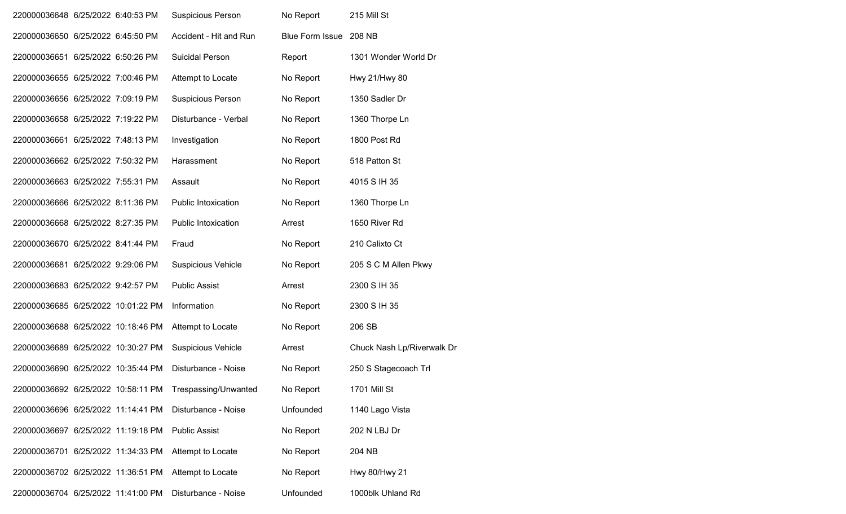| 220000036648 6/25/2022 6:40:53 PM  |  | <b>Suspicious Person</b>   | No Report              | 215 Mill St                |
|------------------------------------|--|----------------------------|------------------------|----------------------------|
| 220000036650 6/25/2022 6:45:50 PM  |  | Accident - Hit and Run     | <b>Blue Form Issue</b> | 208 NB                     |
| 220000036651 6/25/2022 6:50:26 PM  |  | <b>Suicidal Person</b>     | Report                 | 1301 Wonder World Dr       |
| 220000036655 6/25/2022 7:00:46 PM  |  | Attempt to Locate          | No Report              | Hwy 21/Hwy 80              |
| 220000036656 6/25/2022 7:09:19 PM  |  | Suspicious Person          | No Report              | 1350 Sadler Dr             |
| 220000036658 6/25/2022 7:19:22 PM  |  | Disturbance - Verbal       | No Report              | 1360 Thorpe Ln             |
| 220000036661 6/25/2022 7:48:13 PM  |  | Investigation              | No Report              | 1800 Post Rd               |
| 220000036662 6/25/2022 7:50:32 PM  |  | Harassment                 | No Report              | 518 Patton St              |
| 220000036663 6/25/2022 7:55:31 PM  |  | Assault                    | No Report              | 4015 S IH 35               |
| 220000036666 6/25/2022 8:11:36 PM  |  | Public Intoxication        | No Report              | 1360 Thorpe Ln             |
| 220000036668 6/25/2022 8:27:35 PM  |  | <b>Public Intoxication</b> | Arrest                 | 1650 River Rd              |
| 220000036670 6/25/2022 8:41:44 PM  |  | Fraud                      | No Report              | 210 Calixto Ct             |
| 220000036681 6/25/2022 9:29:06 PM  |  | <b>Suspicious Vehicle</b>  | No Report              | 205 S C M Allen Pkwy       |
| 220000036683 6/25/2022 9:42:57 PM  |  | <b>Public Assist</b>       | Arrest                 | 2300 S IH 35               |
| 220000036685 6/25/2022 10:01:22 PM |  | Information                | No Report              | 2300 S IH 35               |
| 220000036688 6/25/2022 10:18:46 PM |  | Attempt to Locate          | No Report              | 206 SB                     |
| 220000036689 6/25/2022 10:30:27 PM |  | <b>Suspicious Vehicle</b>  | Arrest                 | Chuck Nash Lp/Riverwalk Dr |
| 220000036690 6/25/2022 10:35:44 PM |  | Disturbance - Noise        | No Report              | 250 S Stagecoach Trl       |
| 220000036692 6/25/2022 10:58:11 PM |  | Trespassing/Unwanted       | No Report              | 1701 Mill St               |
| 220000036696 6/25/2022 11:14:41 PM |  | Disturbance - Noise        | Unfounded              | 1140 Lago Vista            |
| 220000036697 6/25/2022 11:19:18 PM |  | <b>Public Assist</b>       | No Report              | 202 N LBJ Dr               |
| 220000036701 6/25/2022 11:34:33 PM |  | Attempt to Locate          | No Report              | 204 NB                     |
| 220000036702 6/25/2022 11:36:51 PM |  | Attempt to Locate          | No Report              | Hwy 80/Hwy 21              |
| 220000036704 6/25/2022 11:41:00 PM |  | Disturbance - Noise        | Unfounded              | 1000blk Uhland Rd          |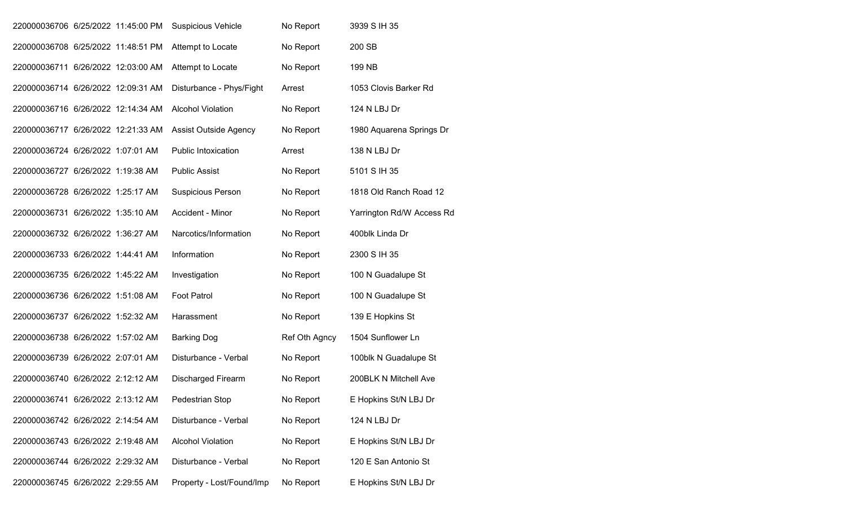| 220000036706 6/25/2022 11:45:00 PM |  | <b>Suspicious Vehicle</b>  | No Report     | 3939 S IH 35              |
|------------------------------------|--|----------------------------|---------------|---------------------------|
| 220000036708 6/25/2022 11:48:51 PM |  | Attempt to Locate          | No Report     | 200 SB                    |
| 220000036711 6/26/2022 12:03:00 AM |  | Attempt to Locate          | No Report     | 199 NB                    |
| 220000036714 6/26/2022 12:09:31 AM |  | Disturbance - Phys/Fight   | Arrest        | 1053 Clovis Barker Rd     |
| 220000036716 6/26/2022 12:14:34 AM |  | <b>Alcohol Violation</b>   | No Report     | 124 N LBJ Dr              |
| 220000036717 6/26/2022 12:21:33 AM |  | Assist Outside Agency      | No Report     | 1980 Aquarena Springs Dr  |
| 220000036724 6/26/2022 1:07:01 AM  |  | <b>Public Intoxication</b> | Arrest        | 138 N LBJ Dr              |
| 220000036727 6/26/2022 1:19:38 AM  |  | <b>Public Assist</b>       | No Report     | 5101 S IH 35              |
| 220000036728 6/26/2022 1:25:17 AM  |  | <b>Suspicious Person</b>   | No Report     | 1818 Old Ranch Road 12    |
| 220000036731 6/26/2022 1:35:10 AM  |  | Accident - Minor           | No Report     | Yarrington Rd/W Access Rd |
| 220000036732 6/26/2022 1:36:27 AM  |  | Narcotics/Information      | No Report     | 400blk Linda Dr           |
| 220000036733 6/26/2022 1:44:41 AM  |  | Information                | No Report     | 2300 S IH 35              |
| 220000036735 6/26/2022 1:45:22 AM  |  | Investigation              | No Report     | 100 N Guadalupe St        |
| 220000036736 6/26/2022 1:51:08 AM  |  | <b>Foot Patrol</b>         | No Report     | 100 N Guadalupe St        |
| 220000036737 6/26/2022 1:52:32 AM  |  | Harassment                 | No Report     | 139 E Hopkins St          |
| 220000036738 6/26/2022 1:57:02 AM  |  | <b>Barking Dog</b>         | Ref Oth Agncy | 1504 Sunflower Ln         |
| 220000036739 6/26/2022 2:07:01 AM  |  | Disturbance - Verbal       | No Report     | 100blk N Guadalupe St     |
| 220000036740 6/26/2022 2:12:12 AM  |  | <b>Discharged Firearm</b>  | No Report     | 200BLK N Mitchell Ave     |
| 220000036741 6/26/2022 2:13:12 AM  |  | Pedestrian Stop            | No Report     | E Hopkins St/N LBJ Dr     |
| 220000036742 6/26/2022 2:14:54 AM  |  | Disturbance - Verbal       | No Report     | 124 N LBJ Dr              |
| 220000036743 6/26/2022 2:19:48 AM  |  | <b>Alcohol Violation</b>   | No Report     | E Hopkins St/N LBJ Dr     |
| 220000036744 6/26/2022 2:29:32 AM  |  | Disturbance - Verbal       | No Report     | 120 E San Antonio St      |
| 220000036745 6/26/2022 2:29:55 AM  |  | Property - Lost/Found/Imp  | No Report     | E Hopkins St/N LBJ Dr     |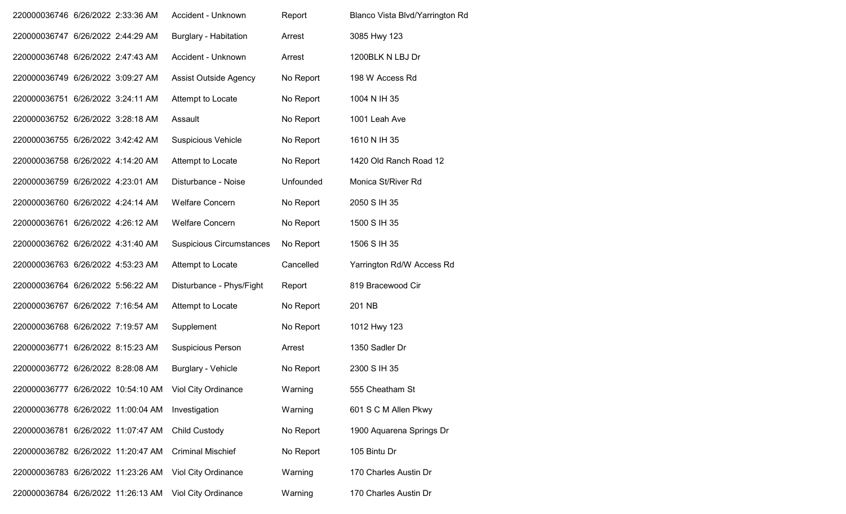| 220000036746 6/26/2022 2:33:36 AM  |  | Accident - Unknown              | Report    | Blanco Vista Blvd/Yarrington Rd |
|------------------------------------|--|---------------------------------|-----------|---------------------------------|
| 220000036747 6/26/2022 2:44:29 AM  |  | <b>Burglary - Habitation</b>    | Arrest    | 3085 Hwy 123                    |
| 220000036748 6/26/2022 2:47:43 AM  |  | Accident - Unknown              | Arrest    | 1200BLK N LBJ Dr                |
| 220000036749 6/26/2022 3:09:27 AM  |  | Assist Outside Agency           | No Report | 198 W Access Rd                 |
| 220000036751 6/26/2022 3:24:11 AM  |  | Attempt to Locate               | No Report | 1004 N IH 35                    |
| 220000036752 6/26/2022 3:28:18 AM  |  | Assault                         | No Report | 1001 Leah Ave                   |
| 220000036755 6/26/2022 3:42:42 AM  |  | <b>Suspicious Vehicle</b>       | No Report | 1610 N IH 35                    |
| 220000036758 6/26/2022 4:14:20 AM  |  | Attempt to Locate               | No Report | 1420 Old Ranch Road 12          |
| 220000036759 6/26/2022 4:23:01 AM  |  | Disturbance - Noise             | Unfounded | Monica St/River Rd              |
| 220000036760 6/26/2022 4:24:14 AM  |  | <b>Welfare Concern</b>          | No Report | 2050 S IH 35                    |
| 220000036761 6/26/2022 4:26:12 AM  |  | <b>Welfare Concern</b>          | No Report | 1500 S IH 35                    |
| 220000036762 6/26/2022 4:31:40 AM  |  | <b>Suspicious Circumstances</b> | No Report | 1506 S IH 35                    |
| 220000036763 6/26/2022 4:53:23 AM  |  | Attempt to Locate               | Cancelled | Yarrington Rd/W Access Rd       |
| 220000036764 6/26/2022 5:56:22 AM  |  | Disturbance - Phys/Fight        | Report    | 819 Bracewood Cir               |
| 220000036767 6/26/2022 7:16:54 AM  |  | Attempt to Locate               | No Report | 201 NB                          |
| 220000036768 6/26/2022 7:19:57 AM  |  | Supplement                      | No Report | 1012 Hwy 123                    |
| 220000036771 6/26/2022 8:15:23 AM  |  | <b>Suspicious Person</b>        | Arrest    | 1350 Sadler Dr                  |
| 220000036772 6/26/2022 8:28:08 AM  |  | Burglary - Vehicle              | No Report | 2300 S IH 35                    |
| 220000036777 6/26/2022 10:54:10 AM |  | <b>Viol City Ordinance</b>      | Warning   | 555 Cheatham St                 |
| 220000036778 6/26/2022 11:00:04 AM |  | Investigation                   | Warning   | 601 S C M Allen Pkwy            |
| 220000036781 6/26/2022 11:07:47 AM |  | Child Custody                   | No Report | 1900 Aquarena Springs Dr        |
| 220000036782 6/26/2022 11:20:47 AM |  | <b>Criminal Mischief</b>        | No Report | 105 Bintu Dr                    |
| 220000036783 6/26/2022 11:23:26 AM |  | Viol City Ordinance             | Warning   | 170 Charles Austin Dr           |
| 220000036784 6/26/2022 11:26:13 AM |  | Viol City Ordinance             | Warning   | 170 Charles Austin Dr           |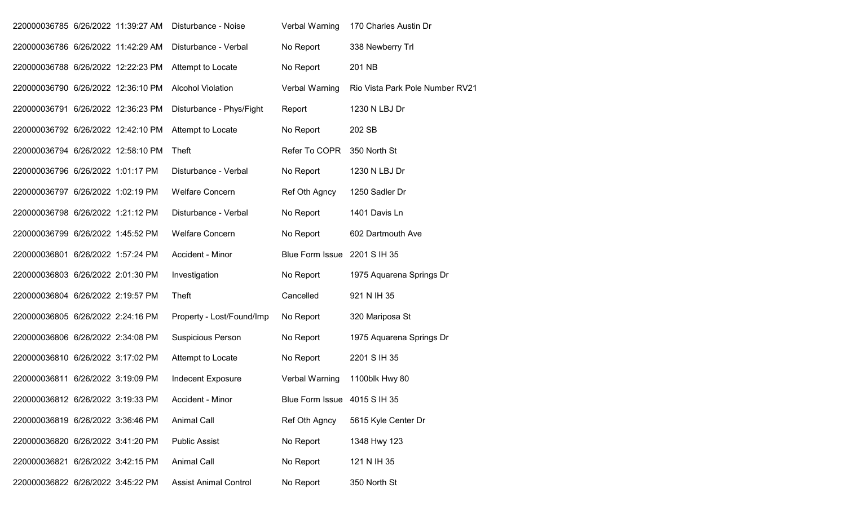| 220000036785 6/26/2022 11:39:27 AM |  | Disturbance - Noise          | Verbal Warning               | 170 Charles Austin Dr           |
|------------------------------------|--|------------------------------|------------------------------|---------------------------------|
| 220000036786 6/26/2022 11:42:29 AM |  | Disturbance - Verbal         | No Report                    | 338 Newberry Trl                |
| 220000036788 6/26/2022 12:22:23 PM |  | Attempt to Locate            | No Report                    | 201 NB                          |
| 220000036790 6/26/2022 12:36:10 PM |  | <b>Alcohol Violation</b>     | Verbal Warning               | Rio Vista Park Pole Number RV21 |
| 220000036791 6/26/2022 12:36:23 PM |  | Disturbance - Phys/Fight     | Report                       | 1230 N LBJ Dr                   |
| 220000036792 6/26/2022 12:42:10 PM |  | Attempt to Locate            | No Report                    | 202 SB                          |
| 220000036794 6/26/2022 12:58:10 PM |  | Theft                        | Refer To COPR                | 350 North St                    |
| 220000036796 6/26/2022 1:01:17 PM  |  | Disturbance - Verbal         | No Report                    | 1230 N LBJ Dr                   |
| 220000036797 6/26/2022 1:02:19 PM  |  | <b>Welfare Concern</b>       | Ref Oth Agncy                | 1250 Sadler Dr                  |
| 220000036798 6/26/2022 1:21:12 PM  |  | Disturbance - Verbal         | No Report                    | 1401 Davis Ln                   |
| 220000036799 6/26/2022 1:45:52 PM  |  | <b>Welfare Concern</b>       | No Report                    | 602 Dartmouth Ave               |
| 220000036801 6/26/2022 1:57:24 PM  |  | Accident - Minor             | Blue Form Issue 2201 S IH 35 |                                 |
| 220000036803 6/26/2022 2:01:30 PM  |  | Investigation                | No Report                    | 1975 Aquarena Springs Dr        |
| 220000036804 6/26/2022 2:19:57 PM  |  | Theft                        | Cancelled                    | 921 N IH 35                     |
| 220000036805 6/26/2022 2:24:16 PM  |  | Property - Lost/Found/Imp    | No Report                    | 320 Mariposa St                 |
| 220000036806 6/26/2022 2:34:08 PM  |  | <b>Suspicious Person</b>     | No Report                    | 1975 Aquarena Springs Dr        |
| 220000036810 6/26/2022 3:17:02 PM  |  | Attempt to Locate            | No Report                    | 2201 S IH 35                    |
| 220000036811 6/26/2022 3:19:09 PM  |  | Indecent Exposure            | Verbal Warning               | 1100blk Hwy 80                  |
| 220000036812 6/26/2022 3:19:33 PM  |  | Accident - Minor             | Blue Form Issue 4015 S IH 35 |                                 |
| 220000036819 6/26/2022 3:36:46 PM  |  | <b>Animal Call</b>           | Ref Oth Agncy                | 5615 Kyle Center Dr             |
| 220000036820 6/26/2022 3:41:20 PM  |  | <b>Public Assist</b>         | No Report                    | 1348 Hwy 123                    |
| 220000036821 6/26/2022 3:42:15 PM  |  | <b>Animal Call</b>           | No Report                    | 121 N IH 35                     |
| 220000036822 6/26/2022 3:45:22 PM  |  | <b>Assist Animal Control</b> | No Report                    | 350 North St                    |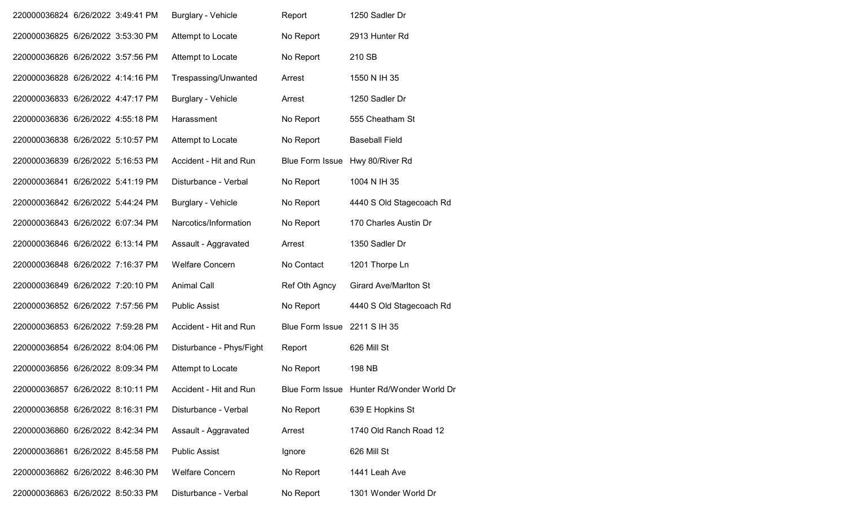| 220000036824 6/26/2022 3:49:41 PM | <b>Burglary - Vehicle</b> | Report                       | 1250 Sadler Dr                            |
|-----------------------------------|---------------------------|------------------------------|-------------------------------------------|
| 220000036825 6/26/2022 3:53:30 PM | Attempt to Locate         | No Report                    | 2913 Hunter Rd                            |
| 220000036826 6/26/2022 3:57:56 PM | Attempt to Locate         | No Report                    | 210 SB                                    |
| 220000036828 6/26/2022 4:14:16 PM | Trespassing/Unwanted      | Arrest                       | 1550 N IH 35                              |
| 220000036833 6/26/2022 4:47:17 PM | Burglary - Vehicle        | Arrest                       | 1250 Sadler Dr                            |
| 220000036836 6/26/2022 4:55:18 PM | Harassment                | No Report                    | 555 Cheatham St                           |
| 220000036838 6/26/2022 5:10:57 PM | Attempt to Locate         | No Report                    | <b>Baseball Field</b>                     |
| 220000036839 6/26/2022 5:16:53 PM | Accident - Hit and Run    | <b>Blue Form Issue</b>       | Hwy 80/River Rd                           |
| 220000036841 6/26/2022 5:41:19 PM | Disturbance - Verbal      | No Report                    | 1004 N IH 35                              |
| 220000036842 6/26/2022 5:44:24 PM | <b>Burglary - Vehicle</b> | No Report                    | 4440 S Old Stagecoach Rd                  |
| 220000036843 6/26/2022 6:07:34 PM | Narcotics/Information     | No Report                    | 170 Charles Austin Dr                     |
| 220000036846 6/26/2022 6:13:14 PM | Assault - Aggravated      | Arrest                       | 1350 Sadler Dr                            |
| 220000036848 6/26/2022 7:16:37 PM | Welfare Concern           | No Contact                   | 1201 Thorpe Ln                            |
| 220000036849 6/26/2022 7:20:10 PM | Animal Call               | Ref Oth Agncy                | <b>Girard Ave/Marlton St</b>              |
| 220000036852 6/26/2022 7:57:56 PM | <b>Public Assist</b>      | No Report                    | 4440 S Old Stagecoach Rd                  |
| 220000036853 6/26/2022 7:59:28 PM | Accident - Hit and Run    | Blue Form Issue 2211 S IH 35 |                                           |
| 220000036854 6/26/2022 8:04:06 PM | Disturbance - Phys/Fight  | Report                       | 626 Mill St                               |
| 220000036856 6/26/2022 8:09:34 PM | Attempt to Locate         | No Report                    | 198 NB                                    |
| 220000036857 6/26/2022 8:10:11 PM | Accident - Hit and Run    |                              | Blue Form Issue Hunter Rd/Wonder World Dr |
| 220000036858 6/26/2022 8:16:31 PM | Disturbance - Verbal      | No Report                    | 639 E Hopkins St                          |
| 220000036860 6/26/2022 8:42:34 PM | Assault - Aggravated      | Arrest                       | 1740 Old Ranch Road 12                    |
| 220000036861 6/26/2022 8:45:58 PM | <b>Public Assist</b>      | Ignore                       | 626 Mill St                               |
| 220000036862 6/26/2022 8:46:30 PM | <b>Welfare Concern</b>    | No Report                    | 1441 Leah Ave                             |
| 220000036863 6/26/2022 8:50:33 PM | Disturbance - Verbal      | No Report                    | 1301 Wonder World Dr                      |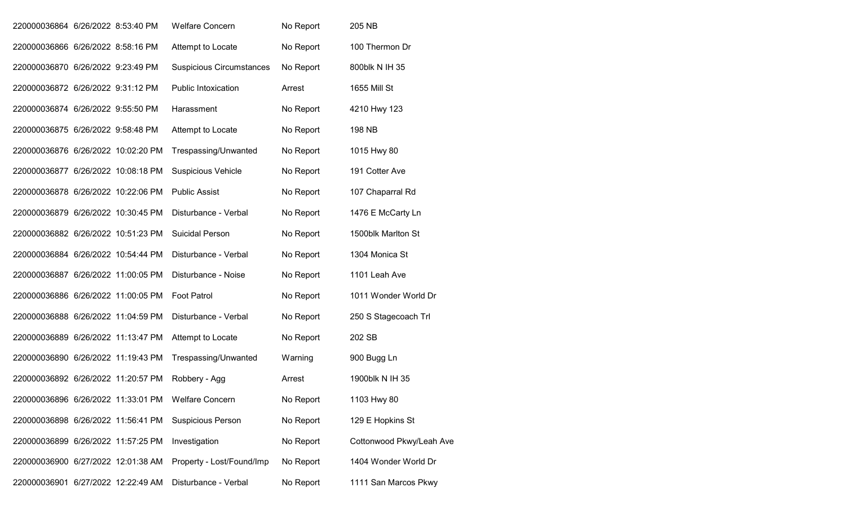| 220000036864 6/26/2022 8:53:40 PM  |  | <b>Welfare Concern</b>          | No Report | 205 NB                   |
|------------------------------------|--|---------------------------------|-----------|--------------------------|
| 220000036866 6/26/2022 8:58:16 PM  |  | Attempt to Locate               | No Report | 100 Thermon Dr           |
| 220000036870 6/26/2022 9:23:49 PM  |  | <b>Suspicious Circumstances</b> | No Report | 800blk N IH 35           |
| 220000036872 6/26/2022 9:31:12 PM  |  | <b>Public Intoxication</b>      | Arrest    | 1655 Mill St             |
| 220000036874 6/26/2022 9:55:50 PM  |  | Harassment                      | No Report | 4210 Hwy 123             |
| 220000036875 6/26/2022 9:58:48 PM  |  | Attempt to Locate               | No Report | 198 NB                   |
| 220000036876 6/26/2022 10:02:20 PM |  | Trespassing/Unwanted            | No Report | 1015 Hwy 80              |
| 220000036877 6/26/2022 10:08:18 PM |  | <b>Suspicious Vehicle</b>       | No Report | 191 Cotter Ave           |
| 220000036878 6/26/2022 10:22:06 PM |  | <b>Public Assist</b>            | No Report | 107 Chaparral Rd         |
| 220000036879 6/26/2022 10:30:45 PM |  | Disturbance - Verbal            | No Report | 1476 E McCarty Ln        |
| 220000036882 6/26/2022 10:51:23 PM |  | <b>Suicidal Person</b>          | No Report | 1500blk Marlton St       |
| 220000036884 6/26/2022 10:54:44 PM |  | Disturbance - Verbal            | No Report | 1304 Monica St           |
| 220000036887 6/26/2022 11:00:05 PM |  | Disturbance - Noise             | No Report | 1101 Leah Ave            |
| 220000036886 6/26/2022 11:00:05 PM |  | <b>Foot Patrol</b>              | No Report | 1011 Wonder World Dr     |
| 220000036888 6/26/2022 11:04:59 PM |  | Disturbance - Verbal            | No Report | 250 S Stagecoach Trl     |
| 220000036889 6/26/2022 11:13:47 PM |  | Attempt to Locate               | No Report | 202 SB                   |
| 220000036890 6/26/2022 11:19:43 PM |  | Trespassing/Unwanted            | Warning   | 900 Bugg Ln              |
| 220000036892 6/26/2022 11:20:57 PM |  | Robbery - Agg                   | Arrest    | 1900blk N IH 35          |
| 220000036896 6/26/2022 11:33:01 PM |  | <b>Welfare Concern</b>          | No Report | 1103 Hwy 80              |
| 220000036898 6/26/2022 11:56:41 PM |  | <b>Suspicious Person</b>        | No Report | 129 E Hopkins St         |
| 220000036899 6/26/2022 11:57:25 PM |  | Investigation                   | No Report | Cottonwood Pkwy/Leah Ave |
| 220000036900 6/27/2022 12:01:38 AM |  | Property - Lost/Found/Imp       | No Report | 1404 Wonder World Dr     |
| 220000036901 6/27/2022 12:22:49 AM |  | Disturbance - Verbal            | No Report | 1111 San Marcos Pkwy     |